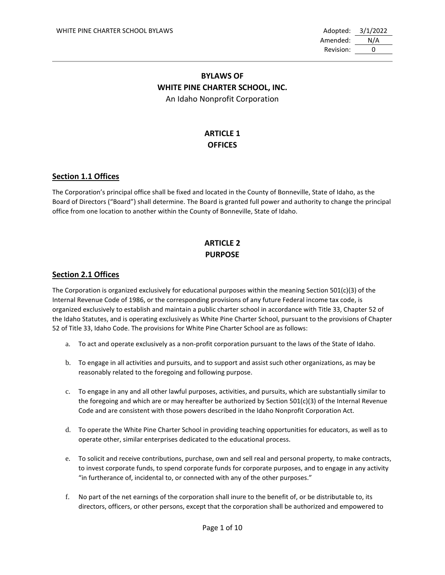Amended: N/A Revision: 0

## **BYLAWS OF WHITE PINE CHARTER SCHOOL, INC.** An Idaho Nonprofit Corporation

# **ARTICLE 1 OFFICES**

### **Section 1.1 Offices**

The Corporation's principal office shall be fixed and located in the County of Bonneville, State of Idaho, as the Board of Directors ("Board") shall determine. The Board is granted full power and authority to change the principal office from one location to another within the County of Bonneville, State of Idaho.

# **ARTICLE 2 PURPOSE**

### **Section 2.1 Offices**

The Corporation is organized exclusively for educational purposes within the meaning Section 501(c)(3) of the Internal Revenue Code of 1986, or the corresponding provisions of any future Federal income tax code, is organized exclusively to establish and maintain a public charter school in accordance with Title 33, Chapter 52 of the Idaho Statutes, and is operating exclusively as White Pine Charter School, pursuant to the provisions of Chapter 52 of Title 33, Idaho Code. The provisions for White Pine Charter School are as follows:

- a. To act and operate exclusively as a non-profit corporation pursuant to the laws of the State of Idaho.
- b. To engage in all activities and pursuits, and to support and assist such other organizations, as may be reasonably related to the foregoing and following purpose.
- c. To engage in any and all other lawful purposes, activities, and pursuits, which are substantially similar to the foregoing and which are or may hereafter be authorized by Section 501(c)(3) of the Internal Revenue Code and are consistent with those powers described in the Idaho Nonprofit Corporation Act.
- d. To operate the White Pine Charter School in providing teaching opportunities for educators, as well as to operate other, similar enterprises dedicated to the educational process.
- e. To solicit and receive contributions, purchase, own and sell real and personal property, to make contracts, to invest corporate funds, to spend corporate funds for corporate purposes, and to engage in any activity "in furtherance of, incidental to, or connected with any of the other purposes."
- f. No part of the net earnings of the corporation shall inure to the benefit of, or be distributable to, its directors, officers, or other persons, except that the corporation shall be authorized and empowered to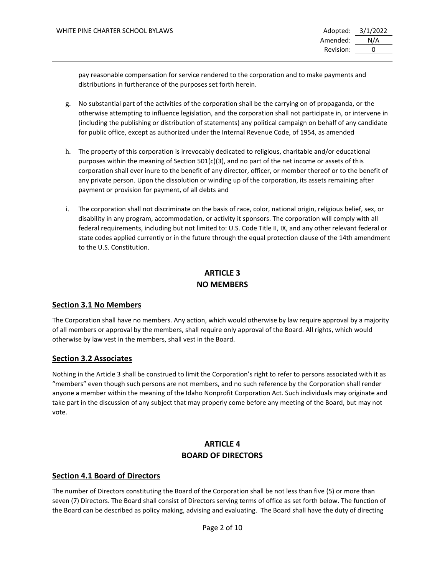pay reasonable compensation for service rendered to the corporation and to make payments and distributions in furtherance of the purposes set forth herein.

- g. No substantial part of the activities of the corporation shall be the carrying on of propaganda, or the otherwise attempting to influence legislation, and the corporation shall not participate in, or intervene in (including the publishing or distribution of statements) any political campaign on behalf of any candidate for public office, except as authorized under the Internal Revenue Code, of 1954, as amended
- h. The property of this corporation is irrevocably dedicated to religious, charitable and/or educational purposes within the meaning of Section 501(c)(3), and no part of the net income or assets of this corporation shall ever inure to the benefit of any director, officer, or member thereof or to the benefit of any private person. Upon the dissolution or winding up of the corporation, its assets remaining after payment or provision for payment, of all debts and
- i. The corporation shall not discriminate on the basis of race, color, national origin, religious belief, sex, or disability in any program, accommodation, or activity it sponsors. The corporation will comply with all federal requirements, including but not limited to: U.S. Code Title II, IX, and any other relevant federal or state codes applied currently or in the future through the equal protection clause of the 14th amendment to the U.S. Constitution.

# **ARTICLE 3 NO MEMBERS**

## **Section 3.1 No Members**

The Corporation shall have no members. Any action, which would otherwise by law require approval by a majority of all members or approval by the members, shall require only approval of the Board. All rights, which would otherwise by law vest in the members, shall vest in the Board.

## **Section 3.2 Associates**

Nothing in the Article 3 shall be construed to limit the Corporation's right to refer to persons associated with it as "members" even though such persons are not members, and no such reference by the Corporation shall render anyone a member within the meaning of the Idaho Nonprofit Corporation Act. Such individuals may originate and take part in the discussion of any subject that may properly come before any meeting of the Board, but may not vote.

## **ARTICLE 4 BOARD OF DIRECTORS**

## **Section 4.1 Board of Directors**

The number of Directors constituting the Board of the Corporation shall be not less than five (5) or more than seven (7) Directors. The Board shall consist of Directors serving terms of office as set forth below. The function of the Board can be described as policy making, advising and evaluating. The Board shall have the duty of directing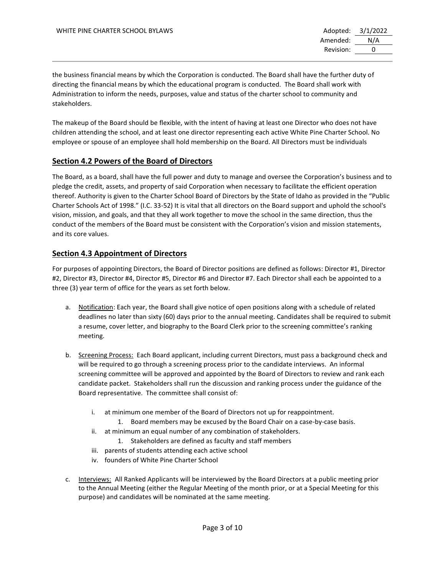the business financial means by which the Corporation is conducted. The Board shall have the further duty of directing the financial means by which the educational program is conducted. The Board shall work with Administration to inform the needs, purposes, value and status of the charter school to community and stakeholders.

The makeup of the Board should be flexible, with the intent of having at least one Director who does not have children attending the school, and at least one director representing each active White Pine Charter School. No employee or spouse of an employee shall hold membership on the Board. All Directors must be individuals

## **Section 4.2 Powers of the Board of Directors**

The Board, as a board, shall have the full power and duty to manage and oversee the Corporation's business and to pledge the credit, assets, and property of said Corporation when necessary to facilitate the efficient operation thereof. Authority is given to the Charter School Board of Directors by the State of Idaho as provided in the "Public Charter Schools Act of 1998." (I.C. 33-52) It is vital that all directors on the Board support and uphold the school's vision, mission, and goals, and that they all work together to move the school in the same direction, thus the conduct of the members of the Board must be consistent with the Corporation's vision and mission statements, and its core values.

## **Section 4.3 Appointment of Directors**

For purposes of appointing Directors, the Board of Director positions are defined as follows: Director #1, Director #2, Director #3, Director #4, Director #5, Director #6 and Director #7. Each Director shall each be appointed to a three (3) year term of office for the years as set forth below.

- a. Notification: Each year, the Board shall give notice of open positions along with a schedule of related deadlines no later than sixty (60) days prior to the annual meeting. Candidates shall be required to submit a resume, cover letter, and biography to the Board Clerk prior to the screening committee's ranking meeting.
- b. Screening Process: Each Board applicant, including current Directors, must pass a background check and will be required to go through a screening process prior to the candidate interviews. An informal screening committee will be approved and appointed by the Board of Directors to review and rank each candidate packet. Stakeholders shall run the discussion and ranking process under the guidance of the Board representative. The committee shall consist of:
	- i. at minimum one member of the Board of Directors not up for reappointment.
		- 1. Board members may be excused by the Board Chair on a case-by-case basis.
	- ii. at minimum an equal number of any combination of stakeholders. 1. Stakeholders are defined as faculty and staff members
	- iii. parents of students attending each active school
	- iv. founders of White Pine Charter School
- c. Interviews: All Ranked Applicants will be interviewed by the Board Directors at a public meeting prior to the Annual Meeting (either the Regular Meeting of the month prior, or at a Special Meeting for this purpose) and candidates will be nominated at the same meeting.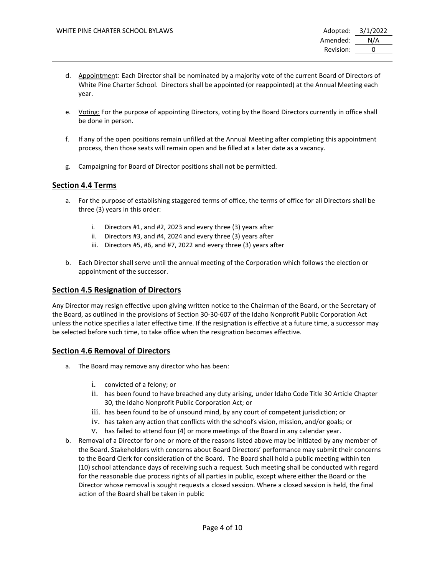- d. Appointment: Each Director shall be nominated by a majority vote of the current Board of Directors of White Pine Charter School. Directors shall be appointed (or reappointed) at the Annual Meeting each year.
- e. Voting: For the purpose of appointing Directors, voting by the Board Directors currently in office shall be done in person.
- f. If any of the open positions remain unfilled at the Annual Meeting after completing this appointment process, then those seats will remain open and be filled at a later date as a vacancy.
- g. Campaigning for Board of Director positions shall not be permitted.

### **Section 4.4 Terms**

- a. For the purpose of establishing staggered terms of office, the terms of office for all Directors shall be three (3) years in this order:
	- i. Directors #1, and #2, 2023 and every three (3) years after
	- ii. Directors #3, and #4, 2024 and every three (3) years after
	- iii. Directors #5, #6, and #7, 2022 and every three (3) years after
- b. Each Director shall serve until the annual meeting of the Corporation which follows the election or appointment of the successor.

### **Section 4.5 Resignation of Directors**

Any Director may resign effective upon giving written notice to the Chairman of the Board, or the Secretary of the Board, as outlined in the provisions of Section 30-30-607 of the Idaho Nonprofit Public Corporation Act unless the notice specifies a later effective time. If the resignation is effective at a future time, a successor may be selected before such time, to take office when the resignation becomes effective.

### **Section 4.6 Removal of Directors**

- a. The Board may remove any director who has been:
	- i. convicted of a felony; or
	- ii. has been found to have breached any duty arising, under Idaho Code Title 30 Article Chapter 30, the Idaho Nonprofit Public Corporation Act; or
	- iii. has been found to be of unsound mind, by any court of competent jurisdiction; or
	- iv. has taken any action that conflicts with the school's vision, mission, and/or goals; or
	- v. has failed to attend four (4) or more meetings of the Board in any calendar year.
- b. Removal of a Director for one or more of the reasons listed above may be initiated by any member of the Board. Stakeholders with concerns about Board Directors' performance may submit their concerns to the Board Clerk for consideration of the Board. The Board shall hold a public meeting within ten (10) school attendance days of receiving such a request. Such meeting shall be conducted with regard for the reasonable due process rights of all parties in public, except where either the Board or the Director whose removal is sought requests a closed session. Where a closed session is held, the final action of the Board shall be taken in public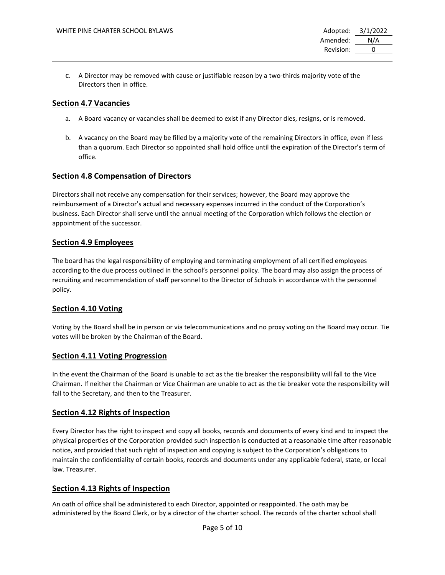c. A Director may be removed with cause or justifiable reason by a two-thirds majority vote of the Directors then in office.

### **Section 4.7 Vacancies**

- a. A Board vacancy or vacancies shall be deemed to exist if any Director dies, resigns, or is removed.
- b. A vacancy on the Board may be filled by a majority vote of the remaining Directors in office, even if less than a quorum. Each Director so appointed shall hold office until the expiration of the Director's term of office.

### **Section 4.8 Compensation of Directors**

Directors shall not receive any compensation for their services; however, the Board may approve the reimbursement of a Director's actual and necessary expenses incurred in the conduct of the Corporation's business. Each Director shall serve until the annual meeting of the Corporation which follows the election or appointment of the successor.

### **Section 4.9 Employees**

The board has the legal responsibility of employing and terminating employment of all certified employees according to the due process outlined in the school's personnel policy. The board may also assign the process of recruiting and recommendation of staff personnel to the Director of Schools in accordance with the personnel policy.

### **Section 4.10 Voting**

Voting by the Board shall be in person or via telecommunications and no proxy voting on the Board may occur. Tie votes will be broken by the Chairman of the Board.

### **Section 4.11 Voting Progression**

In the event the Chairman of the Board is unable to act as the tie breaker the responsibility will fall to the Vice Chairman. If neither the Chairman or Vice Chairman are unable to act as the tie breaker vote the responsibility will fall to the Secretary, and then to the Treasurer.

### **Section 4.12 Rights of Inspection**

Every Director has the right to inspect and copy all books, records and documents of every kind and to inspect the physical properties of the Corporation provided such inspection is conducted at a reasonable time after reasonable notice, and provided that such right of inspection and copying is subject to the Corporation's obligations to maintain the confidentiality of certain books, records and documents under any applicable federal, state, or local law. Treasurer.

### **Section 4.13 Rights of Inspection**

An oath of office shall be administered to each Director, appointed or reappointed. The oath may be administered by the Board Clerk, or by a director of the charter school. The records of the charter school shall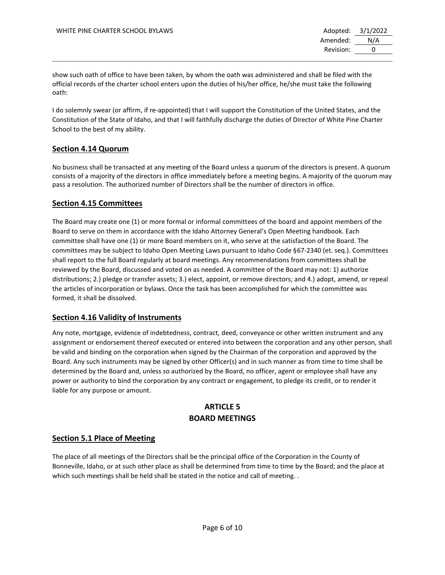show such oath of office to have been taken, by whom the oath was administered and shall be filed with the official records of the charter school enters upon the duties of his/her office, he/she must take the following oath:

I do solemnly swear (or affirm, if re-appointed) that I will support the Constitution of the United States, and the Constitution of the State of Idaho, and that I will faithfully discharge the duties of Director of White Pine Charter School to the best of my ability.

## **Section 4.14 Quorum**

No business shall be transacted at any meeting of the Board unless a quorum of the directors is present. A quorum consists of a majority of the directors in office immediately before a meeting begins. A majority of the quorum may pass a resolution. The authorized number of Directors shall be the number of directors in office.

### **Section 4.15 Committees**

The Board may create one (1) or more formal or informal committees of the board and appoint members of the Board to serve on them in accordance with the Idaho Attorney General's Open Meeting handbook. Each committee shall have one (1) or more Board members on it, who serve at the satisfaction of the Board. The committees may be subject to Idaho Open Meeting Laws pursuant to Idaho Code §67-2340 (et. seq.). Committees shall report to the full Board regularly at board meetings. Any recommendations from committees shall be reviewed by the Board, discussed and voted on as needed. A committee of the Board may not: 1) authorize distributions; 2.) pledge or transfer assets; 3.) elect, appoint, or remove directors; and 4.) adopt, amend, or repeal the articles of incorporation or bylaws. Once the task has been accomplished for which the committee was formed, it shall be dissolved.

## **Section 4.16 Validity of Instruments**

Any note, mortgage, evidence of indebtedness, contract, deed, conveyance or other written instrument and any assignment or endorsement thereof executed or entered into between the corporation and any other person, shall be valid and binding on the corporation when signed by the Chairman of the corporation and approved by the Board. Any such instruments may be signed by other Officer(s) and in such manner as from time to time shall be determined by the Board and, unless so authorized by the Board, no officer, agent or employee shall have any power or authority to bind the corporation by any contract or engagement, to pledge its credit, or to render it liable for any purpose or amount.

## **ARTICLE 5 BOARD MEETINGS**

### **Section 5.1 Place of Meeting**

The place of all meetings of the Directors shall be the principal office of the Corporation in the County of Bonneville, Idaho, or at such other place as shall be determined from time to time by the Board; and the place at which such meetings shall be held shall be stated in the notice and call of meeting. .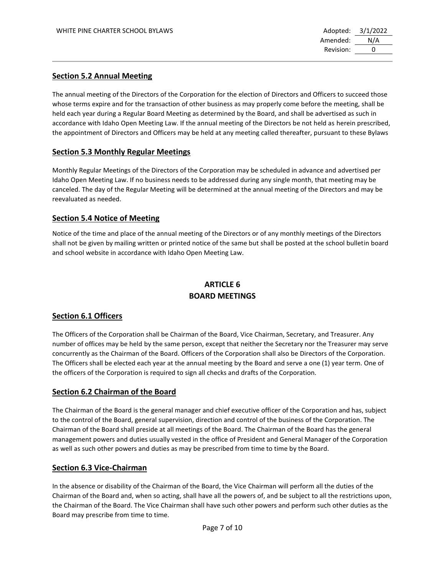### **Section 5.2 Annual Meeting**

The annual meeting of the Directors of the Corporation for the election of Directors and Officers to succeed those whose terms expire and for the transaction of other business as may properly come before the meeting, shall be held each year during a Regular Board Meeting as determined by the Board, and shall be advertised as such in accordance with Idaho Open Meeting Law. If the annual meeting of the Directors be not held as herein prescribed, the appointment of Directors and Officers may be held at any meeting called thereafter, pursuant to these Bylaws

### **Section 5.3 Monthly Regular Meetings**

Monthly Regular Meetings of the Directors of the Corporation may be scheduled in advance and advertised per Idaho Open Meeting Law. If no business needs to be addressed during any single month, that meeting may be canceled. The day of the Regular Meeting will be determined at the annual meeting of the Directors and may be reevaluated as needed.

### **Section 5.4 Notice of Meeting**

Notice of the time and place of the annual meeting of the Directors or of any monthly meetings of the Directors shall not be given by mailing written or printed notice of the same but shall be posted at the school bulletin board and school website in accordance with Idaho Open Meeting Law.

## **ARTICLE 6 BOARD MEETINGS**

### **Section 6.1 Officers**

The Officers of the Corporation shall be Chairman of the Board, Vice Chairman, Secretary, and Treasurer. Any number of offices may be held by the same person, except that neither the Secretary nor the Treasurer may serve concurrently as the Chairman of the Board. Officers of the Corporation shall also be Directors of the Corporation. The Officers shall be elected each year at the annual meeting by the Board and serve a one (1) year term. One of the officers of the Corporation is required to sign all checks and drafts of the Corporation.

### **Section 6.2 Chairman of the Board**

The Chairman of the Board is the general manager and chief executive officer of the Corporation and has, subject to the control of the Board, general supervision, direction and control of the business of the Corporation. The Chairman of the Board shall preside at all meetings of the Board. The Chairman of the Board has the general management powers and duties usually vested in the office of President and General Manager of the Corporation as well as such other powers and duties as may be prescribed from time to time by the Board.

### **Section 6.3 Vice-Chairman**

In the absence or disability of the Chairman of the Board, the Vice Chairman will perform all the duties of the Chairman of the Board and, when so acting, shall have all the powers of, and be subject to all the restrictions upon, the Chairman of the Board. The Vice Chairman shall have such other powers and perform such other duties as the Board may prescribe from time to time.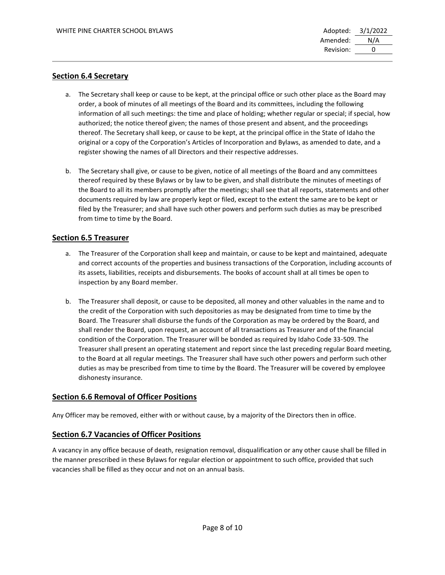#### **Section 6.4 Secretary**

- a. The Secretary shall keep or cause to be kept, at the principal office or such other place as the Board may order, a book of minutes of all meetings of the Board and its committees, including the following information of all such meetings: the time and place of holding; whether regular or special; if special, how authorized; the notice thereof given; the names of those present and absent, and the proceedings thereof. The Secretary shall keep, or cause to be kept, at the principal office in the State of Idaho the original or a copy of the Corporation's Articles of Incorporation and Bylaws, as amended to date, and a register showing the names of all Directors and their respective addresses.
- b. The Secretary shall give, or cause to be given, notice of all meetings of the Board and any committees thereof required by these Bylaws or by law to be given, and shall distribute the minutes of meetings of the Board to all its members promptly after the meetings; shall see that all reports, statements and other documents required by law are properly kept or filed, except to the extent the same are to be kept or filed by the Treasurer; and shall have such other powers and perform such duties as may be prescribed from time to time by the Board.

### **Section 6.5 Treasurer**

- a. The Treasurer of the Corporation shall keep and maintain, or cause to be kept and maintained, adequate and correct accounts of the properties and business transactions of the Corporation, including accounts of its assets, liabilities, receipts and disbursements. The books of account shall at all times be open to inspection by any Board member.
- b. The Treasurer shall deposit, or cause to be deposited, all money and other valuables in the name and to the credit of the Corporation with such depositories as may be designated from time to time by the Board. The Treasurer shall disburse the funds of the Corporation as may be ordered by the Board, and shall render the Board, upon request, an account of all transactions as Treasurer and of the financial condition of the Corporation. The Treasurer will be bonded as required by Idaho Code 33-509. The Treasurer shall present an operating statement and report since the last preceding regular Board meeting, to the Board at all regular meetings. The Treasurer shall have such other powers and perform such other duties as may be prescribed from time to time by the Board. The Treasurer will be covered by employee dishonesty insurance.

### **Section 6.6 Removal of Officer Positions**

Any Officer may be removed, either with or without cause, by a majority of the Directors then in office.

#### **Section 6.7 Vacancies of Officer Positions**

A vacancy in any office because of death, resignation removal, disqualification or any other cause shall be filled in the manner prescribed in these Bylaws for regular election or appointment to such office, provided that such vacancies shall be filled as they occur and not on an annual basis.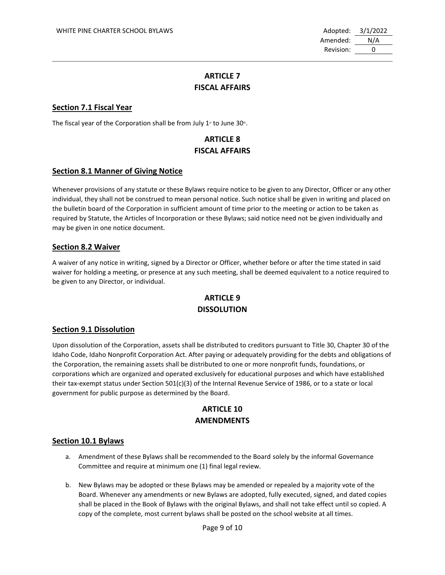Amended: N/A Revision: 0

# **ARTICLE 7 FISCAL AFFAIRS**

### **Section 7.1 Fiscal Year**

The fiscal year of the Corporation shall be from July 1<sup>st</sup> to June 30<sup>th</sup>.

# **ARTICLE 8 FISCAL AFFAIRS**

#### **Section 8.1 Manner of Giving Notice**

Whenever provisions of any statute or these Bylaws require notice to be given to any Director, Officer or any other individual, they shall not be construed to mean personal notice. Such notice shall be given in writing and placed on the bulletin board of the Corporation in sufficient amount of time prior to the meeting or action to be taken as required by Statute, the Articles of Incorporation or these Bylaws; said notice need not be given individually and may be given in one notice document.

#### **Section 8.2 Waiver**

A waiver of any notice in writing, signed by a Director or Officer, whether before or after the time stated in said waiver for holding a meeting, or presence at any such meeting, shall be deemed equivalent to a notice required to be given to any Director, or individual.

## **ARTICLE 9 DISSOLUTION**

### **Section 9.1 Dissolution**

Upon dissolution of the Corporation, assets shall be distributed to creditors pursuant to Title 30, Chapter 30 of the Idaho Code, Idaho Nonprofit Corporation Act. After paying or adequately providing for the debts and obligations of the Corporation, the remaining assets shall be distributed to one or more nonprofit funds, foundations, or corporations which are organized and operated exclusively for educational purposes and which have established their tax-exempt status under Section 501(c)(3) of the Internal Revenue Service of 1986, or to a state or local government for public purpose as determined by the Board.

## **ARTICLE 10 AMENDMENTS**

#### **Section 10.1 Bylaws**

- a. Amendment of these Bylaws shall be recommended to the Board solely by the informal Governance Committee and require at minimum one (1) final legal review.
- b. New Bylaws may be adopted or these Bylaws may be amended or repealed by a majority vote of the Board. Whenever any amendments or new Bylaws are adopted, fully executed, signed, and dated copies shall be placed in the Book of Bylaws with the original Bylaws, and shall not take effect until so copied. A copy of the complete, most current bylaws shall be posted on the school website at all times.